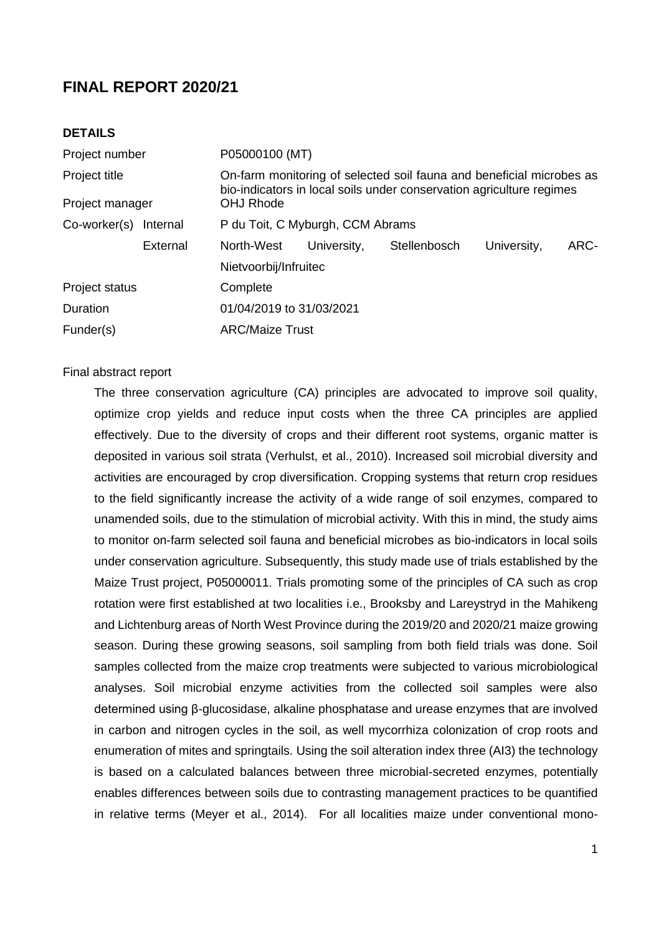# **FINAL REPORT 2020/21**

# **DETAILS**

| Project number     |          | P05000100 (MT)                                                                                                                               |             |              |             |      |  |  |
|--------------------|----------|----------------------------------------------------------------------------------------------------------------------------------------------|-------------|--------------|-------------|------|--|--|
| Project title      |          | On-farm monitoring of selected soil fauna and beneficial microbes as<br>bio-indicators in local soils under conservation agriculture regimes |             |              |             |      |  |  |
| Project manager    |          | <b>OHJ Rhode</b>                                                                                                                             |             |              |             |      |  |  |
| $Co$ -worker $(s)$ | Internal | P du Toit, C Myburgh, CCM Abrams                                                                                                             |             |              |             |      |  |  |
|                    | External | North-West                                                                                                                                   | University, | Stellenbosch | University, | ARC- |  |  |
|                    |          | Nietvoorbij/Infruitec                                                                                                                        |             |              |             |      |  |  |
| Project status     |          | Complete                                                                                                                                     |             |              |             |      |  |  |
| Duration           |          | 01/04/2019 to 31/03/2021                                                                                                                     |             |              |             |      |  |  |
| Funder(s)          |          | <b>ARC/Maize Trust</b>                                                                                                                       |             |              |             |      |  |  |
|                    |          |                                                                                                                                              |             |              |             |      |  |  |

#### Final abstract report

The three conservation agriculture (CA) principles are advocated to improve soil quality, optimize crop yields and reduce input costs when the three CA principles are applied effectively. Due to the diversity of crops and their different root systems, organic matter is deposited in various soil strata (Verhulst, et al., 2010). Increased soil microbial diversity and activities are encouraged by crop diversification. Cropping systems that return crop residues to the field significantly increase the activity of a wide range of soil enzymes, compared to unamended soils, due to the stimulation of microbial activity. With this in mind, the study aims to monitor on-farm selected soil fauna and beneficial microbes as bio-indicators in local soils under conservation agriculture. Subsequently, this study made use of trials established by the Maize Trust project, P05000011. Trials promoting some of the principles of CA such as crop rotation were first established at two localities i.e., Brooksby and Lareystryd in the Mahikeng and Lichtenburg areas of North West Province during the 2019/20 and 2020/21 maize growing season. During these growing seasons, soil sampling from both field trials was done. Soil samples collected from the maize crop treatments were subjected to various microbiological analyses. Soil microbial enzyme activities from the collected soil samples were also determined using β-glucosidase, alkaline phosphatase and urease enzymes that are involved in carbon and nitrogen cycles in the soil, as well mycorrhiza colonization of crop roots and enumeration of mites and springtails. Using the soil alteration index three (AI3) the technology is based on a calculated balances between three microbial-secreted enzymes, potentially enables differences between soils due to contrasting management practices to be quantified in relative terms (Meyer et al., 2014). For all localities maize under conventional mono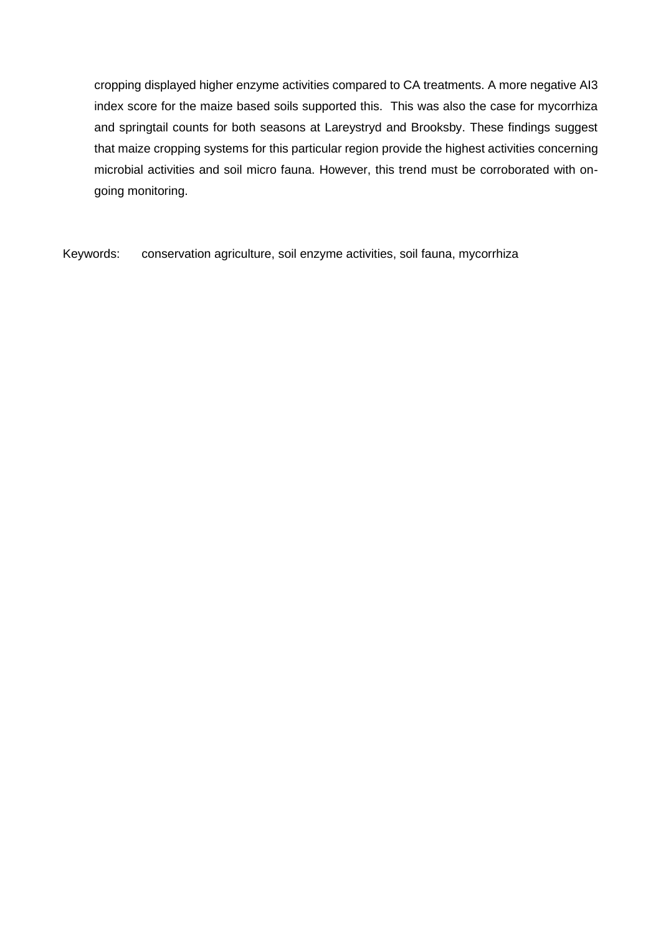cropping displayed higher enzyme activities compared to CA treatments. A more negative AI3 index score for the maize based soils supported this. This was also the case for mycorrhiza and springtail counts for both seasons at Lareystryd and Brooksby. These findings suggest that maize cropping systems for this particular region provide the highest activities concerning microbial activities and soil micro fauna. However, this trend must be corroborated with ongoing monitoring.

Keywords: conservation agriculture, soil enzyme activities, soil fauna, mycorrhiza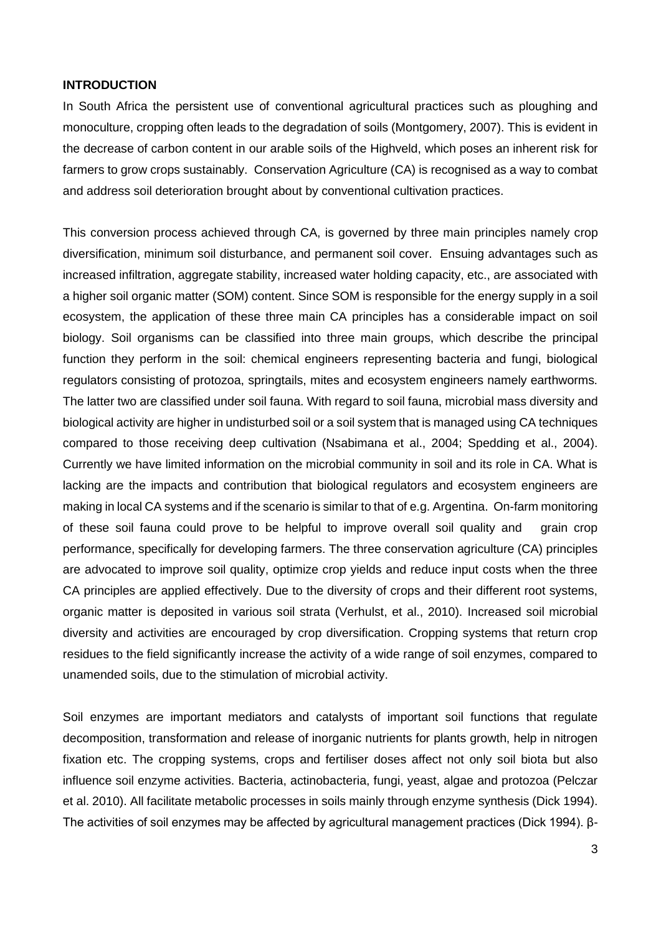### **INTRODUCTION**

In South Africa the persistent use of conventional agricultural practices such as ploughing and monoculture, cropping often leads to the degradation of soils (Montgomery, 2007). This is evident in the decrease of carbon content in our arable soils of the Highveld, which poses an inherent risk for farmers to grow crops sustainably. Conservation Agriculture (CA) is recognised as a way to combat and address soil deterioration brought about by conventional cultivation practices.

This conversion process achieved through CA, is governed by three main principles namely crop diversification, minimum soil disturbance, and permanent soil cover. Ensuing advantages such as increased infiltration, aggregate stability, increased water holding capacity, etc., are associated with a higher soil organic matter (SOM) content. Since SOM is responsible for the energy supply in a soil ecosystem, the application of these three main CA principles has a considerable impact on soil biology. Soil organisms can be classified into three main groups, which describe the principal function they perform in the soil: chemical engineers representing bacteria and fungi, biological regulators consisting of protozoa, springtails, mites and ecosystem engineers namely earthworms. The latter two are classified under soil fauna. With regard to soil fauna, microbial mass diversity and biological activity are higher in undisturbed soil or a soil system that is managed using CA techniques compared to those receiving deep cultivation (Nsabimana et al., 2004; Spedding et al., 2004). Currently we have limited information on the microbial community in soil and its role in CA. What is lacking are the impacts and contribution that biological regulators and ecosystem engineers are making in local CA systems and if the scenario is similar to that of e.g. Argentina. On-farm monitoring of these soil fauna could prove to be helpful to improve overall soil quality and grain crop performance, specifically for developing farmers. The three conservation agriculture (CA) principles are advocated to improve soil quality, optimize crop yields and reduce input costs when the three CA principles are applied effectively. Due to the diversity of crops and their different root systems, organic matter is deposited in various soil strata (Verhulst, et al., 2010). Increased soil microbial diversity and activities are encouraged by crop diversification. Cropping systems that return crop residues to the field significantly increase the activity of a wide range of soil enzymes, compared to unamended soils, due to the stimulation of microbial activity.

Soil enzymes are important mediators and catalysts of important soil functions that regulate decomposition, transformation and release of inorganic nutrients for plants growth, help in nitrogen fixation etc. The cropping systems, crops and fertiliser doses affect not only soil biota but also influence soil enzyme activities. Bacteria, actinobacteria, fungi, yeast, algae and protozoa (Pelczar et al. 2010). All facilitate metabolic processes in soils mainly through enzyme synthesis (Dick 1994). The activities of soil enzymes may be affected by agricultural management practices (Dick 1994). β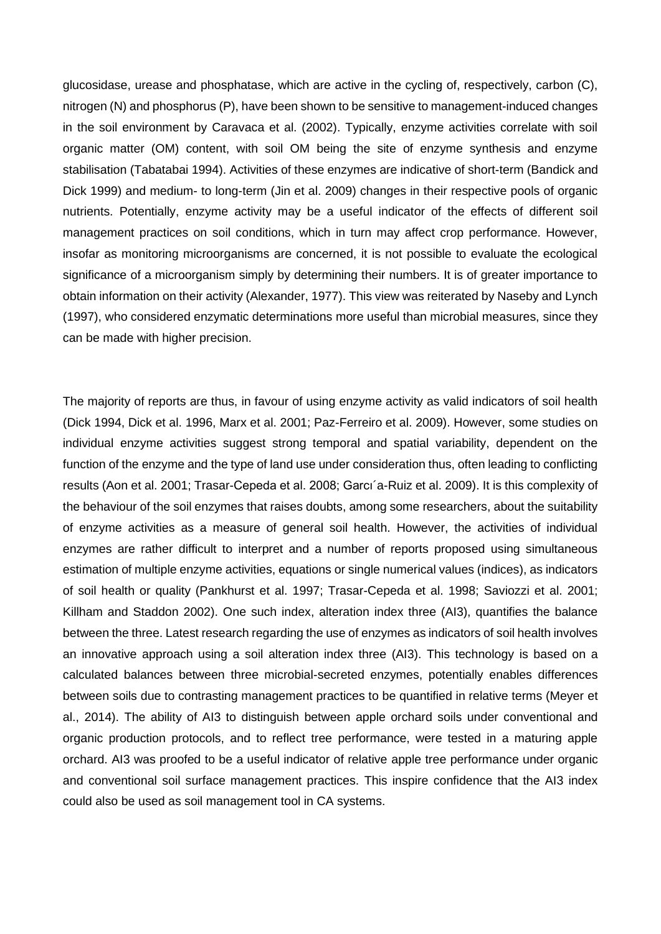glucosidase, urease and phosphatase, which are active in the cycling of, respectively, carbon (C), nitrogen (N) and phosphorus (P), have been shown to be sensitive to management-induced changes in the soil environment by Caravaca et al. (2002). Typically, enzyme activities correlate with soil organic matter (OM) content, with soil OM being the site of enzyme synthesis and enzyme stabilisation (Tabatabai 1994). Activities of these enzymes are indicative of short-term (Bandick and Dick 1999) and medium- to long-term (Jin et al. 2009) changes in their respective pools of organic nutrients. Potentially, enzyme activity may be a useful indicator of the effects of different soil management practices on soil conditions, which in turn may affect crop performance. However, insofar as monitoring microorganisms are concerned, it is not possible to evaluate the ecological significance of a microorganism simply by determining their numbers. It is of greater importance to obtain information on their activity (Alexander, 1977). This view was reiterated by Naseby and Lynch (1997), who considered enzymatic determinations more useful than microbial measures, since they can be made with higher precision.

The majority of reports are thus, in favour of using enzyme activity as valid indicators of soil health (Dick 1994, Dick et al. 1996, Marx et al. 2001; Paz-Ferreiro et al. 2009). However, some studies on individual enzyme activities suggest strong temporal and spatial variability, dependent on the function of the enzyme and the type of land use under consideration thus, often leading to conflicting results (Aon et al. 2001; Trasar-Cepeda et al. 2008; Garcı´a-Ruiz et al. 2009). It is this complexity of the behaviour of the soil enzymes that raises doubts, among some researchers, about the suitability of enzyme activities as a measure of general soil health. However, the activities of individual enzymes are rather difficult to interpret and a number of reports proposed using simultaneous estimation of multiple enzyme activities, equations or single numerical values (indices), as indicators of soil health or quality (Pankhurst et al. 1997; Trasar-Cepeda et al. 1998; Saviozzi et al. 2001; Killham and Staddon 2002). One such index, alteration index three (AI3), quantifies the balance between the three. Latest research regarding the use of enzymes as indicators of soil health involves an innovative approach using a soil alteration index three (AI3). This technology is based on a calculated balances between three microbial-secreted enzymes, potentially enables differences between soils due to contrasting management practices to be quantified in relative terms (Meyer et al., 2014). The ability of AI3 to distinguish between apple orchard soils under conventional and organic production protocols, and to reflect tree performance, were tested in a maturing apple orchard. AI3 was proofed to be a useful indicator of relative apple tree performance under organic and conventional soil surface management practices. This inspire confidence that the AI3 index could also be used as soil management tool in CA systems.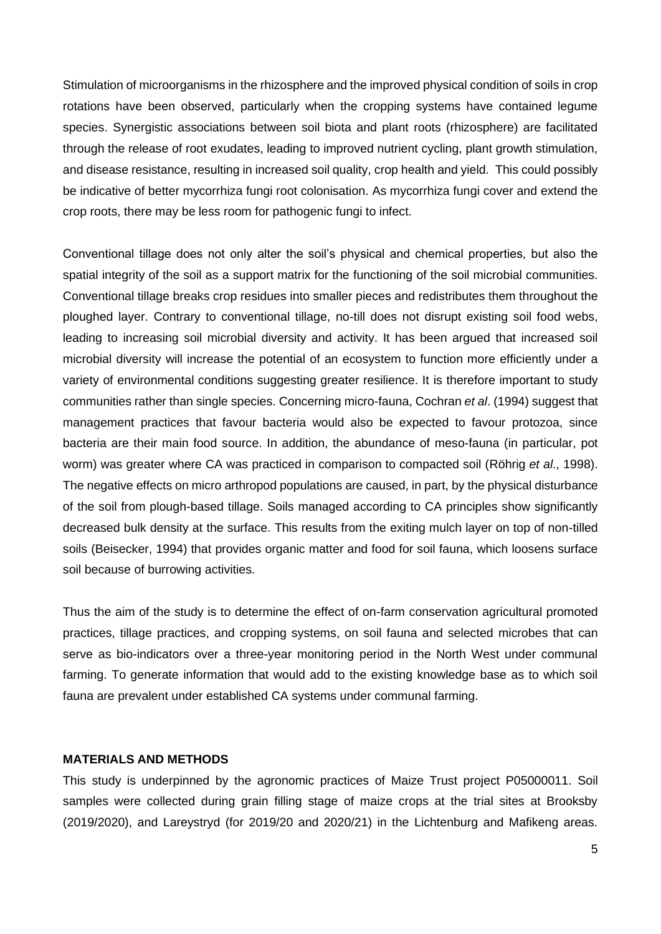Stimulation of microorganisms in the rhizosphere and the improved physical condition of soils in crop rotations have been observed, particularly when the cropping systems have contained legume species. Synergistic associations between soil biota and plant roots (rhizosphere) are facilitated through the release of root exudates, leading to improved nutrient cycling, plant growth stimulation, and disease resistance, resulting in increased soil quality, crop health and yield. This could possibly be indicative of better mycorrhiza fungi root colonisation. As mycorrhiza fungi cover and extend the crop roots, there may be less room for pathogenic fungi to infect.

Conventional tillage does not only alter the soil's physical and chemical properties, but also the spatial integrity of the soil as a support matrix for the functioning of the soil microbial communities. Conventional tillage breaks crop residues into smaller pieces and redistributes them throughout the ploughed layer. Contrary to conventional tillage, no-till does not disrupt existing soil food webs, leading to increasing soil microbial diversity and activity. It has been argued that increased soil microbial diversity will increase the potential of an ecosystem to function more efficiently under a variety of environmental conditions suggesting greater resilience. It is therefore important to study communities rather than single species. Concerning micro-fauna, Cochran *et al*. (1994) suggest that management practices that favour bacteria would also be expected to favour protozoa, since bacteria are their main food source. In addition, the abundance of meso-fauna (in particular, pot worm) was greater where CA was practiced in comparison to compacted soil (Röhrig *et al*., 1998). The negative effects on micro arthropod populations are caused, in part, by the physical disturbance of the soil from plough-based tillage. Soils managed according to CA principles show significantly decreased bulk density at the surface. This results from the exiting mulch layer on top of non-tilled soils (Beisecker, 1994) that provides organic matter and food for soil fauna, which loosens surface soil because of burrowing activities.

Thus the aim of the study is to determine the effect of on-farm conservation agricultural promoted practices, tillage practices, and cropping systems, on soil fauna and selected microbes that can serve as bio-indicators over a three-year monitoring period in the North West under communal farming. To generate information that would add to the existing knowledge base as to which soil fauna are prevalent under established CA systems under communal farming.

# **MATERIALS AND METHODS**

This study is underpinned by the agronomic practices of Maize Trust project P05000011. Soil samples were collected during grain filling stage of maize crops at the trial sites at Brooksby (2019/2020), and Lareystryd (for 2019/20 and 2020/21) in the Lichtenburg and Mafikeng areas.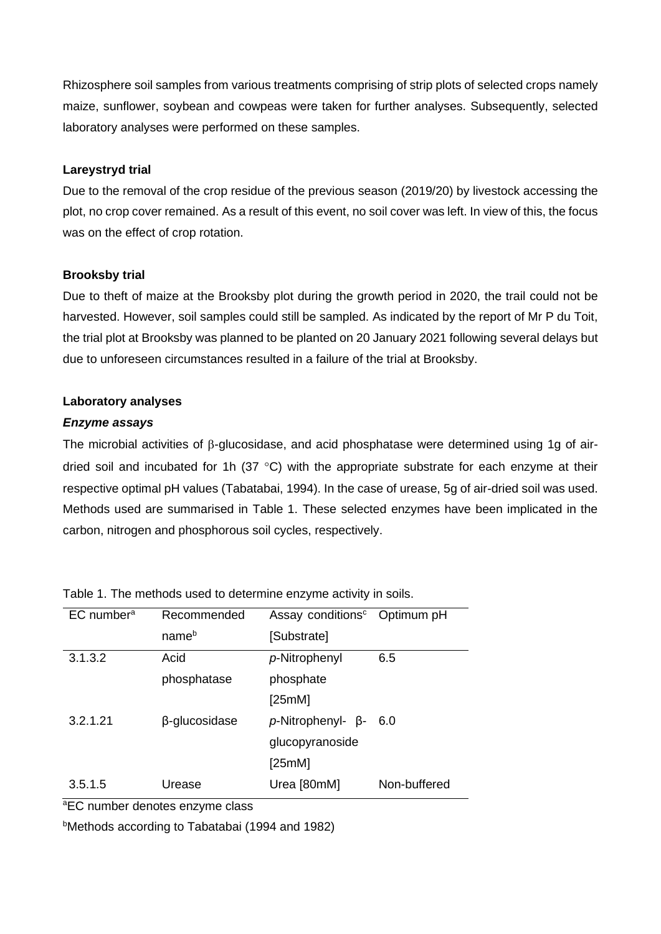Rhizosphere soil samples from various treatments comprising of strip plots of selected crops namely maize, sunflower, soybean and cowpeas were taken for further analyses. Subsequently, selected laboratory analyses were performed on these samples.

# **Lareystryd trial**

Due to the removal of the crop residue of the previous season (2019/20) by livestock accessing the plot, no crop cover remained. As a result of this event, no soil cover was left. In view of this, the focus was on the effect of crop rotation.

# **Brooksby trial**

Due to theft of maize at the Brooksby plot during the growth period in 2020, the trail could not be harvested. However, soil samples could still be sampled. As indicated by the report of Mr P du Toit, the trial plot at Brooksby was planned to be planted on 20 January 2021 following several delays but due to unforeseen circumstances resulted in a failure of the trial at Brooksby.

# **Laboratory analyses**

# *Enzyme assays*

The microbial activities of  $\beta$ -glucosidase, and acid phosphatase were determined using 1g of airdried soil and incubated for 1h (37  $\degree$ C) with the appropriate substrate for each enzyme at their respective optimal pH values (Tabatabai, 1994). In the case of urease, 5g of air-dried soil was used. Methods used are summarised in Table 1. These selected enzymes have been implicated in the carbon, nitrogen and phosphorous soil cycles, respectively.

| $EC$ number <sup>a</sup> | Recommended       | Assay conditions <sup>c</sup> | Optimum pH   |
|--------------------------|-------------------|-------------------------------|--------------|
|                          | name <sup>b</sup> | [Substrate]                   |              |
| 3.1.3.2                  | Acid              | p-Nitrophenyl                 | 6.5          |
|                          | phosphatase       | phosphate                     |              |
|                          |                   | [25mM]                        |              |
| 3.2.1.21                 | β-glucosidase     | $p$ -Nitrophenyl- $\beta$ -   | 6.0          |
|                          |                   | glucopyranoside               |              |
|                          |                   | [25mM]                        |              |
| 3.5.1.5                  | Urease            | Urea [80mM]                   | Non-buffered |

Table 1. The methods used to determine enzyme activity in soils.

aEC number denotes enzyme class

bMethods according to Tabatabai (1994 and 1982)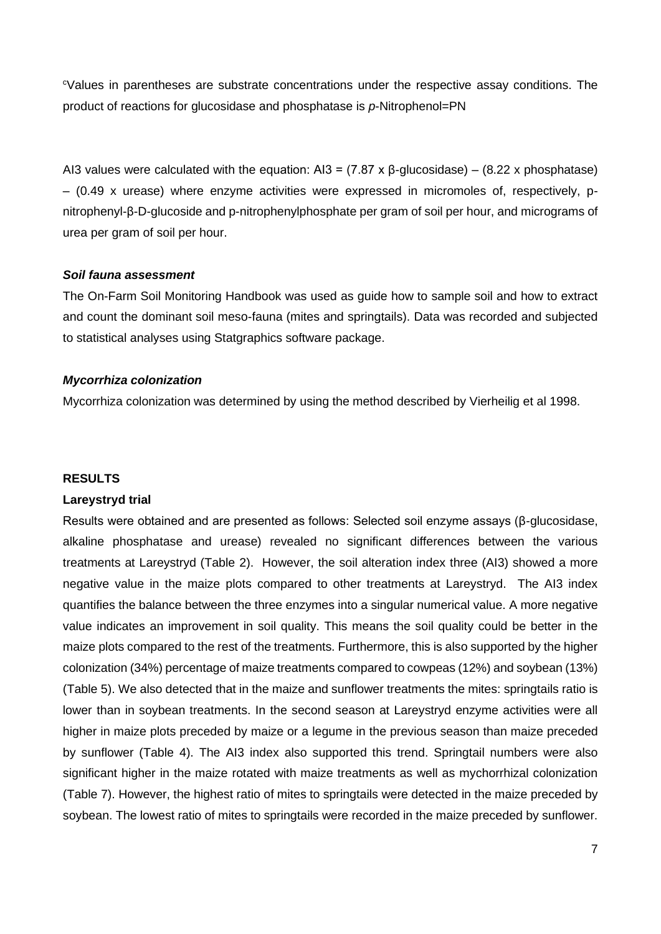<sup>c</sup>Values in parentheses are substrate concentrations under the respective assay conditions. The product of reactions for glucosidase and phosphatase is *p*-Nitrophenol=PN

AI3 values were calculated with the equation: AI3 =  $(7.87 \times \beta$ -glucosidase) –  $(8.22 \times \beta)$  phosphatase) – (0.49 x urease) where enzyme activities were expressed in micromoles of, respectively, pnitrophenyl-β-D-glucoside and p-nitrophenylphosphate per gram of soil per hour, and micrograms of urea per gram of soil per hour.

### *Soil fauna assessment*

The On-Farm Soil Monitoring Handbook was used as guide how to sample soil and how to extract and count the dominant soil meso-fauna (mites and springtails). Data was recorded and subjected to statistical analyses using Statgraphics software package.

#### *Mycorrhiza colonization*

Mycorrhiza colonization was determined by using the method described by Vierheilig et al 1998.

#### **RESULTS**

#### **Lareystryd trial**

Results were obtained and are presented as follows: Selected soil enzyme assays (β-glucosidase, alkaline phosphatase and urease) revealed no significant differences between the various treatments at Lareystryd (Table 2). However, the soil alteration index three (AI3) showed a more negative value in the maize plots compared to other treatments at Lareystryd. The AI3 index quantifies the balance between the three enzymes into a singular numerical value. A more negative value indicates an improvement in soil quality. This means the soil quality could be better in the maize plots compared to the rest of the treatments. Furthermore, this is also supported by the higher colonization (34%) percentage of maize treatments compared to cowpeas (12%) and soybean (13%) (Table 5). We also detected that in the maize and sunflower treatments the mites: springtails ratio is lower than in soybean treatments. In the second season at Lareystryd enzyme activities were all higher in maize plots preceded by maize or a legume in the previous season than maize preceded by sunflower (Table 4). The AI3 index also supported this trend. Springtail numbers were also significant higher in the maize rotated with maize treatments as well as mychorrhizal colonization (Table 7). However, the highest ratio of mites to springtails were detected in the maize preceded by soybean. The lowest ratio of mites to springtails were recorded in the maize preceded by sunflower.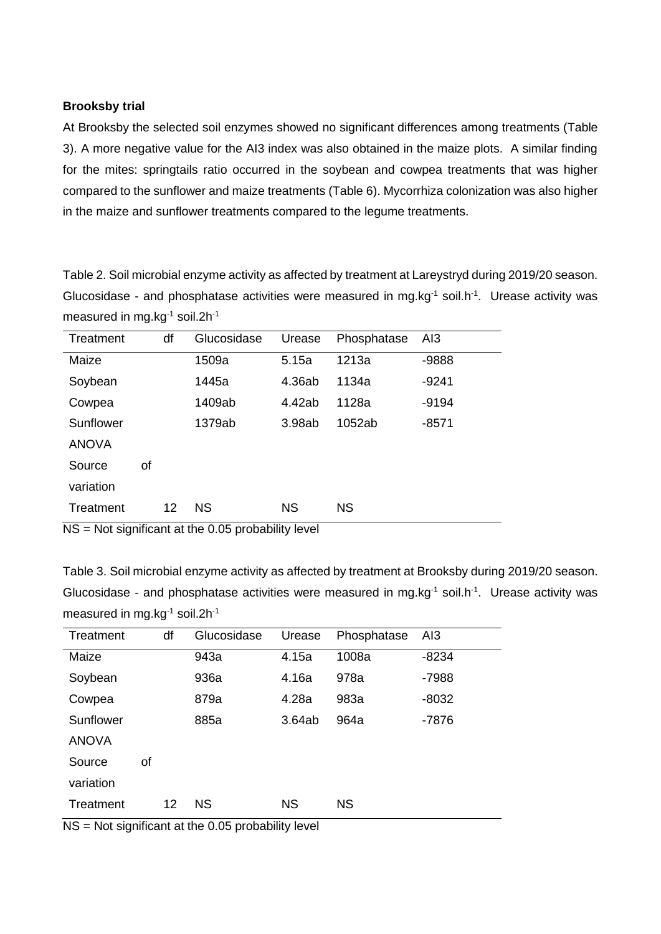# **Brooksby trial**

At Brooksby the selected soil enzymes showed no significant differences among treatments (Table 3). A more negative value for the AI3 index was also obtained in the maize plots. A similar finding for the mites: springtails ratio occurred in the soybean and cowpea treatments that was higher compared to the sunflower and maize treatments (Table 6). Mycorrhiza colonization was also higher in the maize and sunflower treatments compared to the legume treatments.

Table 2. Soil microbial enzyme activity as affected by treatment at Lareystryd during 2019/20 season. Glucosidase - and phosphatase activities were measured in mg.kg<sup>-1</sup> soil.h<sup>-1</sup>. Urease activity was measured in mg.kg<sup>-1</sup> soil.2h<sup>-1</sup>

| Treatment    |    | df | Glucosidase | Urease    | Phosphatase | AI3     |
|--------------|----|----|-------------|-----------|-------------|---------|
| Maize        |    |    | 1509a       | 5.15a     | 1213a       | -9888   |
| Soybean      |    |    | 1445a       | 4.36ab    | 1134a       | $-9241$ |
| Cowpea       |    |    | 1409ab      | 4.42ab    | 1128a       | $-9194$ |
| Sunflower    |    |    | 1379ab      | 3.98ab    | 1052ab      | $-8571$ |
| <b>ANOVA</b> |    |    |             |           |             |         |
| Source       | οf |    |             |           |             |         |
| variation    |    |    |             |           |             |         |
| Treatment    |    | 12 | <b>NS</b>   | <b>NS</b> | <b>NS</b>   |         |

NS = Not significant at the 0.05 probability level

Table 3. Soil microbial enzyme activity as affected by treatment at Brooksby during 2019/20 season. Glucosidase - and phosphatase activities were measured in mg.kg $1$  soil.h $1$ . Urease activity was measured in mg.kg<sup>-1</sup> soil.2h<sup>-1</sup>

| Treatment    |    | df | Glucosidase | Urease    | Phosphatase | AI3     |
|--------------|----|----|-------------|-----------|-------------|---------|
| Maize        |    |    | 943a        | 4.15a     | 1008a       | $-8234$ |
| Soybean      |    |    | 936a        | 4.16a     | 978a        | $-7988$ |
| Cowpea       |    |    | 879a        | 4.28a     | 983a        | $-8032$ |
| Sunflower    |    |    | 885a        | 3.64ab    | 964a        | $-7876$ |
| <b>ANOVA</b> |    |    |             |           |             |         |
| Source       | οf |    |             |           |             |         |
| variation    |    |    |             |           |             |         |
| Treatment    |    | 12 | ΝS          | <b>NS</b> | ΝS          |         |

 $NS = Not$  significant at the 0.05 probability level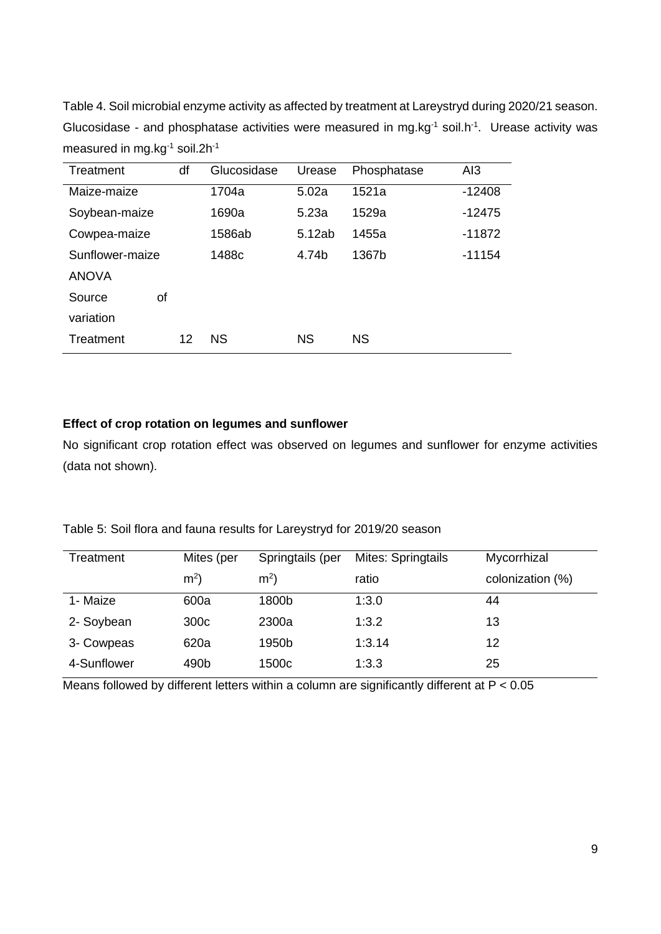Table 4. Soil microbial enzyme activity as affected by treatment at Lareystryd during 2020/21 season. Glucosidase - and phosphatase activities were measured in mg.kg<sup>-1</sup> soil.h<sup>-1</sup>. Urease activity was measured in mg.kg<sup>-1</sup> soil.2h<sup>-1</sup>

| Treatment       | df | Glucosidase | Urease    | Phosphatase | AI3      |
|-----------------|----|-------------|-----------|-------------|----------|
| Maize-maize     |    | 1704a       | 5.02a     | 1521a       | $-12408$ |
| Soybean-maize   |    | 1690a       | 5.23a     | 1529a       | $-12475$ |
| Cowpea-maize    |    | 1586ab      | 5.12ab    | 1455a       | $-11872$ |
| Sunflower-maize |    | 1488c       | 4.74b     | 1367b       | $-11154$ |
| <b>ANOVA</b>    |    |             |           |             |          |
| Source          | οf |             |           |             |          |
| variation       |    |             |           |             |          |
| Treatment       | 12 | <b>NS</b>   | <b>NS</b> | ΝS          |          |

# **Effect of crop rotation on legumes and sunflower**

No significant crop rotation effect was observed on legumes and sunflower for enzyme activities (data not shown).

| Treatment   | Mites (per       | Springtails (per  | Mites: Springtails | Mycorrhizal      |
|-------------|------------------|-------------------|--------------------|------------------|
|             | m <sup>2</sup>   | m <sup>2</sup>    | ratio              | colonization (%) |
| 1- Maize    | 600a             | 1800b             | 1:3.0              | 44               |
| 2- Soybean  | 300 <sub>c</sub> | 2300a             | 1:3.2              | 13               |
| 3- Cowpeas  | 620a             | 1950b             | 1:3.14             | 12               |
| 4-Sunflower | 490b             | 1500 <sub>c</sub> | 1:3.3              | 25               |

Table 5: Soil flora and fauna results for Lareystryd for 2019/20 season

Means followed by different letters within a column are significantly different at  $P < 0.05$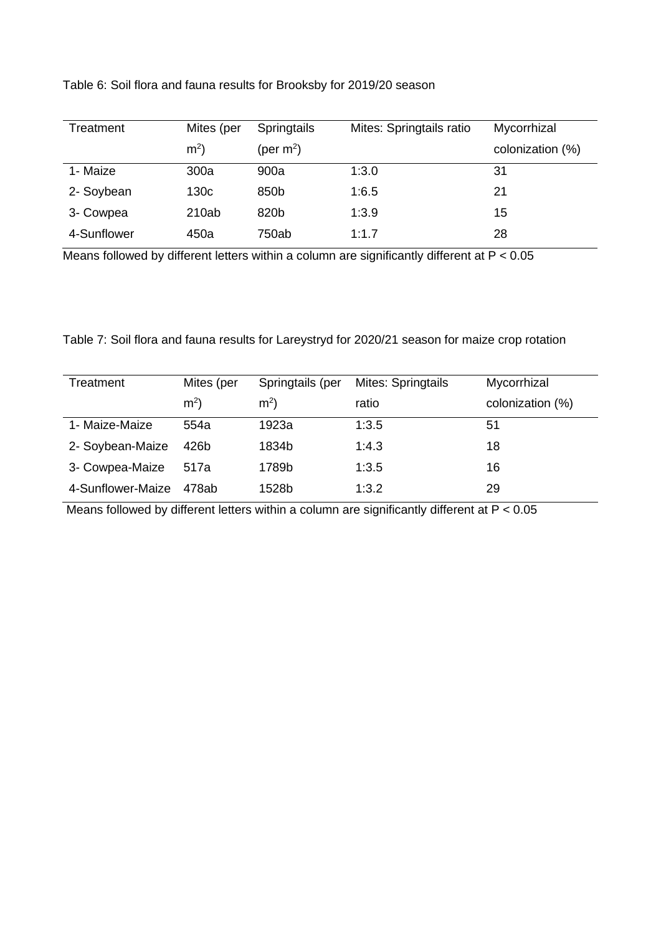| Table 6: Soil flora and fauna results for Brooksby for 2019/20 season |  |
|-----------------------------------------------------------------------|--|
|-----------------------------------------------------------------------|--|

| Treatment   | Mites (per     | <b>Springtails</b> | Mites: Springtails ratio | Mycorrhizal      |
|-------------|----------------|--------------------|--------------------------|------------------|
|             | m <sup>2</sup> | (per $m^2$ )       |                          | colonization (%) |
| 1- Maize    | 300a           | 900a               | 1:3.0                    | 31               |
| 2- Soybean  | 130c           | 850b               | 1:6.5                    | 21               |
| 3- Cowpea   | 210ab          | 820b               | 1:3.9                    | 15               |
| 4-Sunflower | 450a           | 750ab              | 1:1.7                    | 28               |

Means followed by different letters within a column are significantly different at P < 0.05

Table 7: Soil flora and fauna results for Lareystryd for 2020/21 season for maize crop rotation

| Treatment         | Mites (per     | Springtails (per | Mites: Springtails | Mycorrhizal      |
|-------------------|----------------|------------------|--------------------|------------------|
|                   | m <sup>2</sup> | m <sup>2</sup>   | ratio              | colonization (%) |
| 1- Maize-Maize    | 554a           | 1923a            | 1:3.5              | 51               |
| 2- Soybean-Maize  | 426b           | 1834b            | 1:4.3              | 18               |
| 3- Cowpea-Maize   | 517a           | 1789b            | 1:3.5              | 16               |
| 4-Sunflower-Maize | 478ab          | 1528b            | 1:3.2              | 29               |

Means followed by different letters within a column are significantly different at P < 0.05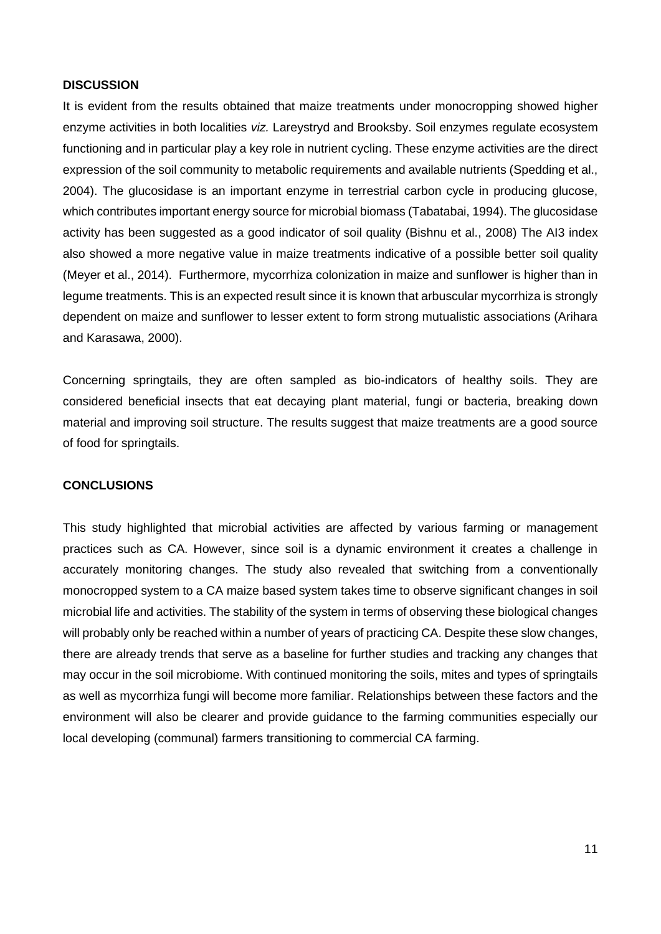# **DISCUSSION**

It is evident from the results obtained that maize treatments under monocropping showed higher enzyme activities in both localities *viz.* Lareystryd and Brooksby. Soil enzymes regulate ecosystem functioning and in particular play a key role in nutrient cycling. These enzyme activities are the direct expression of the soil community to metabolic requirements and available nutrients (Spedding et al., 2004). The glucosidase is an important enzyme in terrestrial carbon cycle in producing glucose, which contributes important energy source for microbial biomass (Tabatabai, 1994). The glucosidase activity has been suggested as a good indicator of soil quality (Bishnu et al., 2008) The AI3 index also showed a more negative value in maize treatments indicative of a possible better soil quality (Meyer et al., 2014). Furthermore, mycorrhiza colonization in maize and sunflower is higher than in legume treatments. This is an expected result since it is known that arbuscular mycorrhiza is strongly dependent on maize and sunflower to lesser extent to form strong mutualistic associations (Arihara and Karasawa, 2000).

Concerning springtails, they are often sampled as bio-indicators of healthy soils. They are considered beneficial insects that eat decaying plant material, fungi or bacteria, breaking down material and improving soil structure. The results suggest that maize treatments are a good source of food for springtails.

#### **CONCLUSIONS**

This study highlighted that microbial activities are affected by various farming or management practices such as CA. However, since soil is a dynamic environment it creates a challenge in accurately monitoring changes. The study also revealed that switching from a conventionally monocropped system to a CA maize based system takes time to observe significant changes in soil microbial life and activities. The stability of the system in terms of observing these biological changes will probably only be reached within a number of years of practicing CA. Despite these slow changes, there are already trends that serve as a baseline for further studies and tracking any changes that may occur in the soil microbiome. With continued monitoring the soils, mites and types of springtails as well as mycorrhiza fungi will become more familiar. Relationships between these factors and the environment will also be clearer and provide guidance to the farming communities especially our local developing (communal) farmers transitioning to commercial CA farming.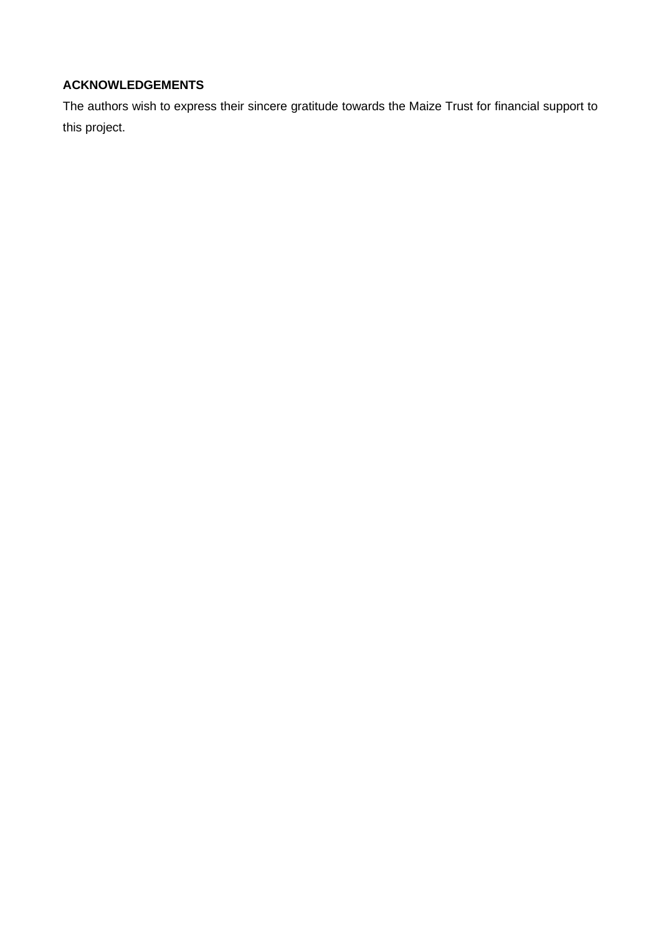# **ACKNOWLEDGEMENTS**

The authors wish to express their sincere gratitude towards the Maize Trust for financial support to this project.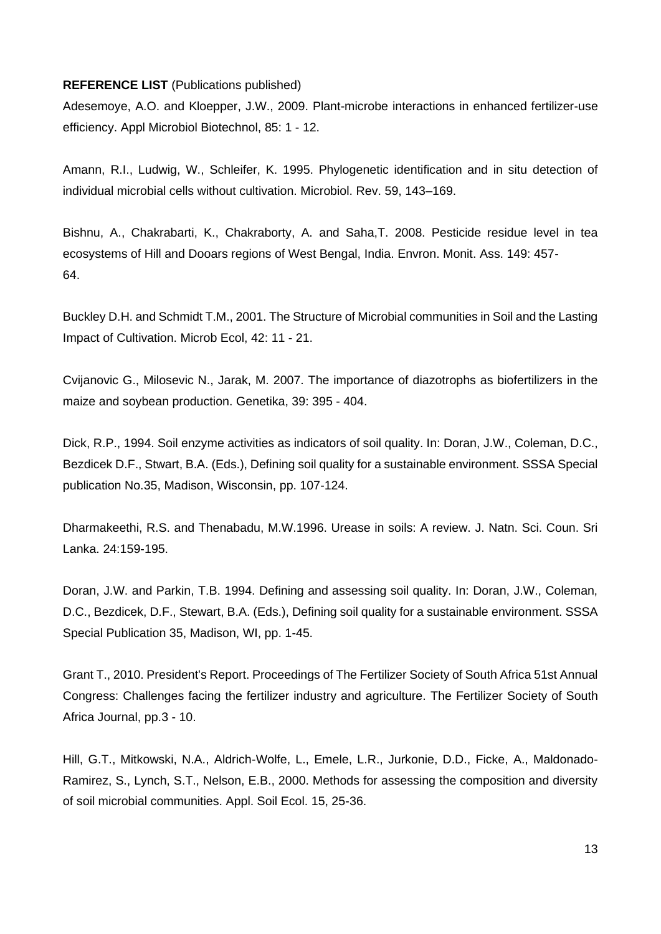# **REFERENCE LIST** (Publications published)

Adesemoye, A.O. and Kloepper, J.W., 2009. Plant-microbe interactions in enhanced fertilizer-use efficiency. Appl Microbiol Biotechnol, 85: 1 - 12.

Amann, R.I., Ludwig, W., Schleifer, K. 1995. Phylogenetic identification and in situ detection of individual microbial cells without cultivation. Microbiol. Rev. 59, 143–169.

Bishnu, A., Chakrabarti, K., Chakraborty, A. and Saha,T. 2008. Pesticide residue level in tea ecosystems of Hill and Dooars regions of West Bengal, India. Envron. Monit. Ass. 149: 457- 64.

Buckley D.H. and Schmidt T.M., 2001. The Structure of Microbial communities in Soil and the Lasting Impact of Cultivation. Microb Ecol, 42: 11 - 21.

Cvijanovic G., Milosevic N., Jarak, M. 2007. The importance of diazotrophs as biofertilizers in the maize and soybean production. Genetika, 39: 395 - 404.

Dick, R.P., 1994. Soil enzyme activities as indicators of soil quality. In: Doran, J.W., Coleman, D.C., Bezdicek D.F., Stwart, B.A. (Eds.), Defining soil quality for a sustainable environment. SSSA Special publication No.35, Madison, Wisconsin, pp. 107-124.

Dharmakeethi, R.S. and Thenabadu, M.W.1996. Urease in soils: A review. J. Natn. Sci. Coun. Sri Lanka. 24:159-195.

Doran, J.W. and Parkin, T.B. 1994. Defining and assessing soil quality. In: Doran, J.W., Coleman, D.C., Bezdicek, D.F., Stewart, B.A. (Eds.), Defining soil quality for a sustainable environment. SSSA Special Publication 35, Madison, WI, pp. 1-45.

Grant T., 2010. President's Report. Proceedings of The Fertilizer Society of South Africa 51st Annual Congress: Challenges facing the fertilizer industry and agriculture. The Fertilizer Society of South Africa Journal, pp.3 - 10.

Hill, G.T., Mitkowski, N.A., Aldrich-Wolfe, L., Emele, L.R., Jurkonie, D.D., Ficke, A., Maldonado-Ramirez, S., Lynch, S.T., Nelson, E.B., 2000. Methods for assessing the composition and diversity of soil microbial communities. Appl. Soil Ecol. 15, 25-36.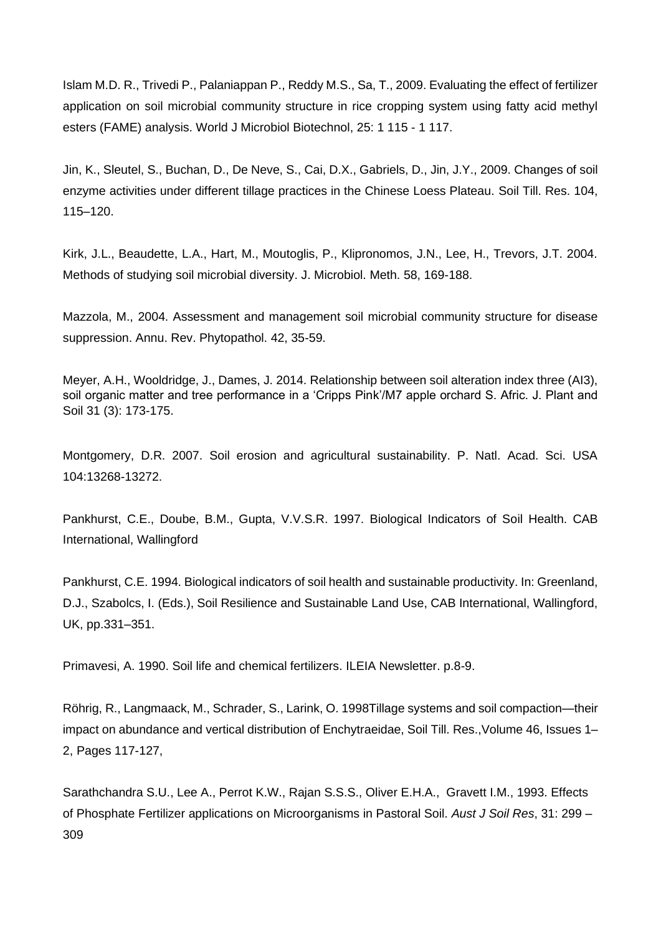Islam M.D. R., Trivedi P., Palaniappan P., Reddy M.S., Sa, T., 2009. Evaluating the effect of fertilizer application on soil microbial community structure in rice cropping system using fatty acid methyl esters (FAME) analysis. World J Microbiol Biotechnol, 25: 1 115 - 1 117.

Jin, K., Sleutel, S., Buchan, D., De Neve, S., Cai, D.X., Gabriels, D., Jin, J.Y., 2009. Changes of soil enzyme activities under different tillage practices in the Chinese Loess Plateau. Soil Till. Res. 104, 115–120.

Kirk, J.L., Beaudette, L.A., Hart, M., Moutoglis, P., Klipronomos, J.N., Lee, H., Trevors, J.T. 2004. Methods of studying soil microbial diversity. J. Microbiol. Meth. 58, 169-188.

Mazzola, M., 2004. Assessment and management soil microbial community structure for disease suppression. Annu. Rev. Phytopathol. 42, 35-59.

Meyer, A.H., Wooldridge, J., Dames, J. 2014. Relationship between soil alteration index three (AI3), soil organic matter and tree performance in a 'Cripps Pink'/M7 apple orchard S. Afric. J. Plant and Soil 31 (3): 173-175.

Montgomery, D.R. 2007. Soil erosion and agricultural sustainability. P. Natl. Acad. Sci. USA 104:13268-13272.

Pankhurst, C.E., Doube, B.M., Gupta, V.V.S.R. 1997. Biological Indicators of Soil Health. CAB International, Wallingford

Pankhurst, C.E. 1994. Biological indicators of soil health and sustainable productivity. In: Greenland, D.J., Szabolcs, I. (Eds.), Soil Resilience and Sustainable Land Use, CAB International, Wallingford, UK, pp.331–351.

Primavesi, A. 1990. Soil life and chemical fertilizers. ILEIA Newsletter. p.8-9.

Röhrig, R., Langmaack, M., Schrader, S., Larink, O. 1998Tillage systems and soil compaction—their impact on abundance and vertical distribution of Enchytraeidae, Soil Till. Res.,Volume 46, Issues 1– 2, Pages 117-127,

Sarathchandra S.U., Lee A., Perrot K.W., Rajan S.S.S., Oliver E.H.A., Gravett I.M., 1993. Effects of Phosphate Fertilizer applications on Microorganisms in Pastoral Soil. *Aust J Soil Res*, 31: 299 – 309